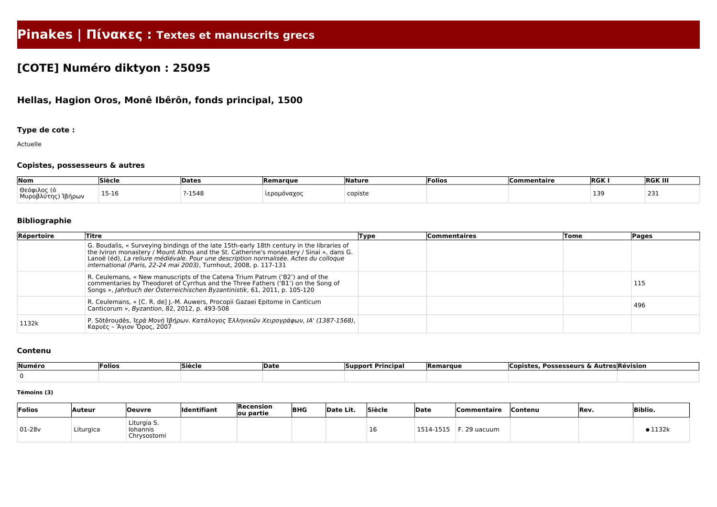# **Pinakes | Πίνακες : Textes et manuscrits grecs**

## **[COTE] Numéro diktyon : 25095**

## **Hellas, Hagion Oros, Monê Ibêrôn, fonds principal, 1500**

## **Type de cote :**

Actuelle

## **Copistes, possesseurs & autres**

| $\sqrt{N}$                | le:A<br>$\sim$ - 10 $\sim$<br>-----               | Date:   | Remarque    | .<br>.  | <b>Folios</b> | Commentaire | <b>RGK</b> | <b>RGK III</b> |
|---------------------------|---------------------------------------------------|---------|-------------|---------|---------------|-------------|------------|----------------|
| Θεό<br>$M_{12}$<br>Ίβήρων | -<br>15-10<br>the contract of the contract of the | $-1548$ | νανο<br>. . | copiste |               |             | ≺ч<br>.    | , .<br>ᅀᇰᆂ     |

#### **Bibliographie**

| Répertoire | <b>Titre</b>                                                                                                                                                                                                                                                                                                                                      | Type | Commentaires | Tome | Pages |
|------------|---------------------------------------------------------------------------------------------------------------------------------------------------------------------------------------------------------------------------------------------------------------------------------------------------------------------------------------------------|------|--------------|------|-------|
|            | G. Boudalis, « Surveying bindings of the late 15th-early 18th century in the libraries of<br>the Iviron monastery / Mount Athos and the St. Catherine's monastery / Sinai », dans G.<br>Lanoë (éd), La reliure médiévale. Pour une description normalisée. Actes du colloque<br>international (Paris, 22-24 mai 2003), Turnhout, 2008, p. 117-131 |      |              |      |       |
|            | R. Ceulemans, « New manuscripts of the Catena Trium Patrum ('B2') and of the<br>commentaries by Theodoret of Cyrrhus and the Three Fathers ('B1') on the Song of<br>Songs », Jahrbuch der Österreichischen Byzantinistik, 61, 2011, p. 105-120                                                                                                    |      |              |      | 115   |
|            | R. Ceulemans, « [C. R. de] J.-M. Auwers, Procopii Gazaei Epitome in Canticum<br>Canticorum », Byzantion, 82, 2012, p. 493-508                                                                                                                                                                                                                     |      |              |      | 496   |
| 1132k      | P. Sôtêroudês, Ιερά Μονὴ Ιβήρων. Κατάλογος Έλληνικῶν Χειρογράφων, ΙΑ' (1387-1568),<br>Καρυὲς - Άγιον Όρος, 2007                                                                                                                                                                                                                                   |      |              |      |       |

#### **Contenu**

| Numéro | <b>Siècle</b><br> Folios |  | <b>Date</b> | : Principal<br><b>Support</b> | <b>Remarque</b> | <b>Possesseurs &amp; Autres Révision</b><br>Copiste: |  |  |
|--------|--------------------------|--|-------------|-------------------------------|-----------------|------------------------------------------------------|--|--|
|        |                          |  |             |                               |                 |                                                      |  |  |

#### **Témoins (3)**

| Folios    | Auteur    | <b>Oeuvre</b>                          | Identifiant | Recension<br>ou partie | <b>BHG</b> | Date Lit. | Siècle | Date          | <b>Commentaire</b> | .Contenu | <b>Rev.</b> | <b>Biblio.</b> |
|-----------|-----------|----------------------------------------|-------------|------------------------|------------|-----------|--------|---------------|--------------------|----------|-------------|----------------|
| $ 01-28v$ | Liturgica | Liturgia S.<br>Iohannis<br>Chrysostomi |             |                        |            |           |        | -1515<br>1514 | ` 29 uacuum        |          |             | •1132k         |